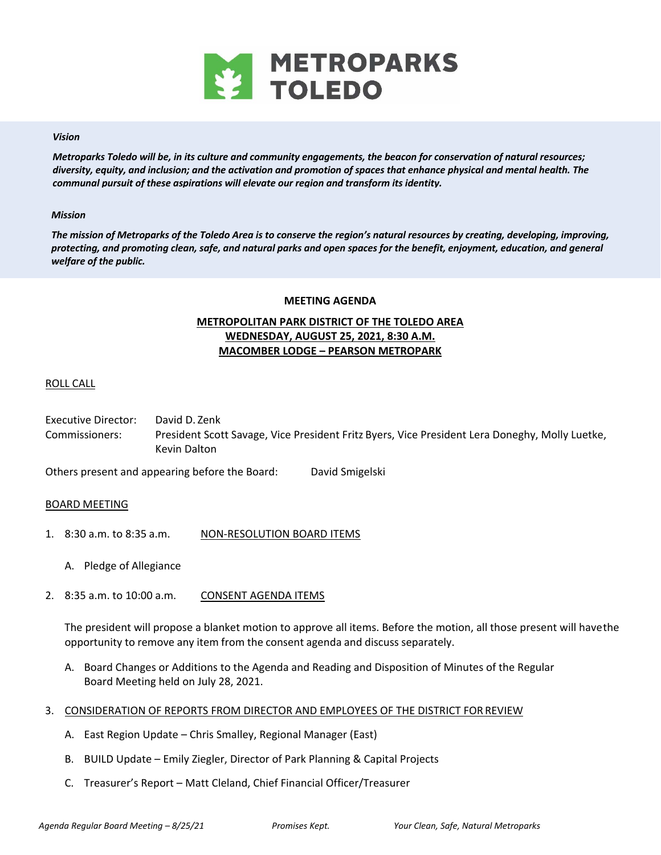

## *Vision*

*Metroparks Toledo will be, in its culture and community engagements, the beacon for conservation of natural resources; diversity, equity, and inclusion; and the activation and promotion of spaces that enhance physical and mental health. The communal pursuit of these aspirations will elevate our region and transform its identity.* 

#### *Mission*

*The mission of Metroparks of the Toledo Area is to conserve the region's natural resources by creating, developing, improving, protecting, and promoting clean, safe, and natural parks and open spaces for the benefit, enjoyment, education, and general welfare of the public.* 

#### **MEETING AGENDA**

# **METROPOLITAN PARK DISTRICT OF THE TOLEDO AREA WEDNESDAY, AUGUST 25, 2021, 8:30 A.M. MACOMBER LODGE – PEARSON METROPARK**

## ROLL CALL

Executive Director: David D. Zenk Commissioners: President Scott Savage, Vice President Fritz Byers, Vice President Lera Doneghy, Molly Luetke, Kevin Dalton

Others present and appearing before the Board: David Smigelski

## BOARD MEETING

- 1. 8:30 a.m. to 8:35 a.m. NON-RESOLUTION BOARD ITEMS
	- A. Pledge of Allegiance
- 2. 8:35 a.m. to 10:00 a.m. CONSENT AGENDA ITEMS

The president will propose a blanket motion to approve all items. Before the motion, all those present will have the opportunity to remove any item from the consent agenda and discuss separately.

- A. Board Changes or Additions to the Agenda and Reading and Disposition of Minutes of the Regular Board Meeting held on July 28, 2021.
- 3. CONSIDERATION OF REPORTS FROM DIRECTOR AND EMPLOYEES OF THE DISTRICT FOR REVIEW
	- A. East Region Update Chris Smalley, Regional Manager (East)
	- B. BUILD Update Emily Ziegler, Director of Park Planning & Capital Projects
	- C. Treasurer's Report Matt Cleland, Chief Financial Officer/Treasurer